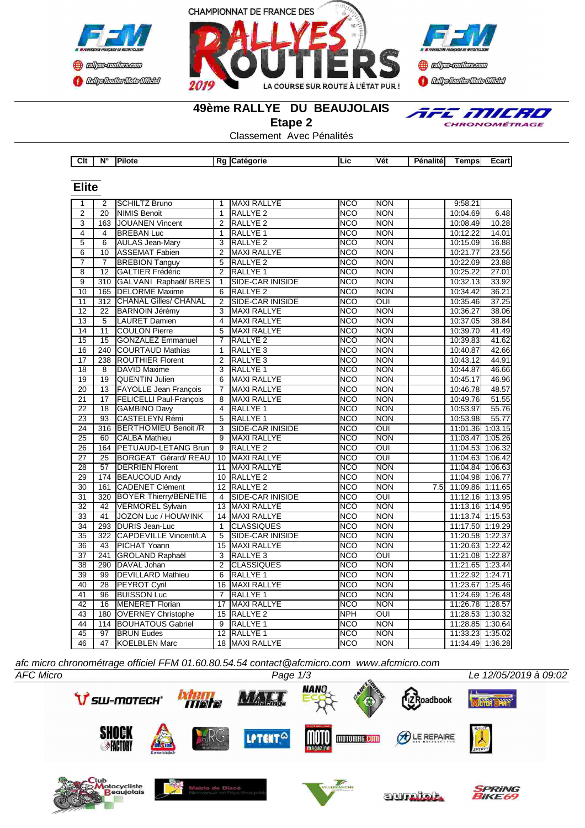





TFE MILRO CHRONOMÉTRAGE

#### **49ème RALLYE DU BEAUJOLAIS**

**Etape 2**

Classement Avec Pénalités

| Clt | <b>N°</b> | <b>IPilote</b> | . . | <b>aorie</b><br>и<br>.atc | . .<br><b>Vet</b> | <b>STATES</b><br><br>alite<br>---<br>ноп | <b>Temps</b> | -aast<br>_car |
|-----|-----------|----------------|-----|---------------------------|-------------------|------------------------------------------|--------------|---------------|

| <b>Elite</b>              |                  |                                |                          |                         |                  |                         |     |                  |         |
|---------------------------|------------------|--------------------------------|--------------------------|-------------------------|------------------|-------------------------|-----|------------------|---------|
| 1                         | 2                | SCHILTZ Bruno                  | $\mathbf{1}$             | <b>MAXI RALLYE</b>      | <b>NCO</b>       | <b>NON</b>              |     | 9:58.21          |         |
| $\overline{2}$            | 20               | <b>NIMIS Benoit</b>            | $\mathbf{1}$             | <b>RALLYE 2</b>         | <b>NCO</b>       | <b>NON</b>              |     | 10:04.69         | 6.48    |
| $\overline{\overline{3}}$ | $\overline{163}$ | <b>JOUANEN Vincent</b>         | $\overline{2}$           | <b>RALLYE 2</b>         | $\overline{NCO}$ | <b>NON</b>              |     | 10:08.49         | 10.28   |
| 4                         | 4                | <b>BREBAN Luc</b>              | $\mathbf{1}$             | <b>RALLYE 1</b>         | <b>NCO</b>       | <b>NON</b>              |     | 10:12.22         | 14.01   |
| 5                         | $\overline{6}$   | <b>AULAS Jean-Mary</b>         | 3                        | <b>RALLYE 2</b>         | $\overline{NCO}$ | <b>NON</b>              |     | 10:15.09         | 16.88   |
| $\overline{6}$            | 10               | <b>ASSEMAT Fabien</b>          | $\overline{2}$           | <b>MAXI RALLYE</b>      | <b>NCO</b>       | <b>NON</b>              |     | 10:21.77         | 23.56   |
| $\overline{7}$            | $\overline{7}$   | <b>BREBION Tanguy</b>          | 5                        | RALLYE <sub>2</sub>     | $\overline{NCO}$ | <b>NON</b>              |     | 10:22.09         | 23.88   |
| $\overline{8}$            | $\overline{12}$  | <b>GALTIER Frédéric</b>        | $\overline{2}$           | RALLYE <sub>1</sub>     | <b>NCO</b>       | <b>NON</b>              |     | 10:25.22         | 27.01   |
| $\overline{9}$            | 310              | GALVANI Raphaël/ BRES          | 1                        | SIDE-CAR INISIDE        | <b>NCO</b>       | <b>NON</b>              |     | 10:32.13         | 33.92   |
| 10                        | 165              | <b>DELORME</b> Maxime          | 6                        | <b>RALLYE 2</b>         | <b>NCO</b>       | <b>NON</b>              |     | 10:34.42         | 36.21   |
| 11                        | 312              | <b>CHANAL Gilles/ CHANAL</b>   | $\overline{2}$           | SIDE-CAR INISIDE        | $\overline{NCO}$ | $\overline{\text{OUI}}$ |     | 10:35.46         | 37.25   |
| 12                        | 22               | <b>BARNOIN Jérémy</b>          | 3                        | <b>MAXI RALLYE</b>      | <b>NCO</b>       | <b>NON</b>              |     | 10:36.27         | 38.06   |
| 13                        | $\overline{5}$   | <b>LAURET Damien</b>           | 4                        | <b>MAXI RALLYE</b>      | $\overline{NCO}$ | <b>NON</b>              |     | 10:37.05         | 38.84   |
| 14                        | 11               | <b>COULON Pierre</b>           | 5                        | <b>MAXI RALLYE</b>      | <b>NCO</b>       | <b>NON</b>              |     | 10:39.70         | 41.49   |
| 15                        | $\overline{15}$  | <b>GONZALEZ Emmanuel</b>       | $\overline{7}$           | <b>RALLYE 2</b>         | <b>NCO</b>       | <b>NON</b>              |     | 10:39.83         | 41.62   |
| 16                        | 240              | <b>COURTAUD Mathias</b>        | $\overline{1}$           | RALLYE <sub>3</sub>     | <b>NCO</b>       | <b>NON</b>              |     | 10:40.87         | 42.66   |
| $\overline{17}$           | 238              | <b>ROUTHIER Florent</b>        | $\overline{2}$           | RALLYE <sub>3</sub>     | <b>NCO</b>       | <b>NON</b>              |     | 10:43.12         | 44.91   |
| $\overline{18}$           | $\overline{8}$   | <b>DAVID Maxime</b>            | $\overline{3}$           | RALLYE <sub>1</sub>     | <b>NCO</b>       | <b>NON</b>              |     | 10:44.87         | 46.66   |
| 19                        | 19               | QUENTIN Julien                 | 6                        | <b>MAXI RALLYE</b>      | <b>NCO</b>       | <b>NON</b>              |     | 10:45.17         | 46.96   |
| 20                        | $\overline{13}$  | <b>FAYOLLE Jean François</b>   | $\overline{7}$           | <b>MAXI RALLYE</b>      | <b>NCO</b>       | <b>NON</b>              |     | 10:46.78         | 48.57   |
| $\overline{21}$           | $\overline{17}$  | <b>FELICELLI Paul-François</b> | 8                        | <b>MAXI RALLYE</b>      | <b>NCO</b>       | <b>NON</b>              |     | 10:49.76         | 51.55   |
| 22                        | 18               | <b>GAMBINO Davy</b>            | $\overline{\mathcal{L}}$ | RALLYE <sub>1</sub>     | <b>NCO</b>       | <b>NON</b>              |     | 10:53.97         | 55.76   |
| 23                        | $\overline{93}$  | CASTELEYN Rémi                 | $\overline{5}$           | RALLYE <sub>1</sub>     | <b>NCO</b>       | <b>NON</b>              |     | 10:53.98         | 55.77   |
| 24                        | 316              | <b>BERTHOMIEU Benoit /R</b>    | 3                        | SIDE-CAR INISIDE        | <b>NCO</b>       | OUI                     |     | 11:01.36 1:03.15 |         |
| 25                        | 60               | <b>CALBA Mathieu</b>           | 9                        | <b>MAXI RALLYE</b>      | <b>NCO</b>       | <b>NON</b>              |     | 11:03.47 1:05.26 |         |
| 26                        | 164              | PETUAUD-LETANG Brun            | 9                        | RALLYE <sub>2</sub>     | <b>NCO</b>       | $\overline{C}$          |     | 11:04.53 1:06.32 |         |
| $\overline{27}$           | $\overline{25}$  | <b>BORGEAT Gérard/REAU</b>     | 10                       | <b>MAXI RALLYE</b>      | <b>NCO</b>       | $\overline{\text{out}}$ |     | 11:04.63 1:06.42 |         |
| 28                        | 57               | <b>DERRIEN Florent</b>         | 11                       | <b>MAXI RALLYE</b>      | <b>NCO</b>       | <b>NON</b>              |     | 11:04.84 1:06.63 |         |
| $\overline{29}$           | 174              | <b>BEAUCOUD Andy</b>           | 10 <sup>1</sup>          | <b>RALLYE 2</b>         | <b>NCO</b>       | <b>NON</b>              |     | 11:04.98 1:06.77 |         |
| $\overline{30}$           | 161              | <b>CADENET Clément</b>         | 12                       | <b>RALLYE 2</b>         | <b>NCO</b>       | <b>NON</b>              | 7.5 | 11:09.86 1:11.65 |         |
| $\overline{31}$           | $\overline{320}$ | <b>BOYER Thierry/BENETIE</b>   | 4                        | <b>SIDE-CAR INISIDE</b> | $\overline{NCO}$ | $\overline{\text{out}}$ |     | 11:12.16 1:13.95 |         |
| $\overline{32}$           | $\overline{42}$  | <b>VERMOREL Sylvain</b>        | $\overline{13}$          | <b>MAXI RALLYE</b>      | <b>NCO</b>       | <b>NON</b>              |     | 11:13.16 1:14.95 |         |
| 33                        | 41               | JOZON Luc / HOUWINK            | 14                       | <b>MAXI RALLYE</b>      | <b>NCO</b>       | <b>NON</b>              |     | 11:13.74 1:15.53 |         |
| 34                        | 293              | <b>DURIS Jean-Luc</b>          | $\mathbf{1}$             | <b>CLASSIQUES</b>       | <b>NCO</b>       | <b>NON</b>              |     | 11:17.50 1:19.29 |         |
| 35                        | 322              | <b>CAPDEVILLE Vincent/LA</b>   | 5                        | SIDE-CAR INISIDE        | <b>NCO</b>       | <b>NON</b>              |     | 11:20.58 1:22.37 |         |
| 36                        | 43               | <b>PICHAT Yoann</b>            | 15                       | <b>MAXI RALLYE</b>      | <b>NCO</b>       | <b>NON</b>              |     | 11:20.63 1:22.42 |         |
| $\overline{37}$           | 241              | <b>GROLAND Raphaël</b>         | 3                        | <b>RALLYE 3</b>         | <b>NCO</b>       | $\overline{O}$          |     | 11:21.08 1:22.87 |         |
| 38                        | 290              | DAVAL Johan                    | $\overline{2}$           | <b>CLASSIQUES</b>       | <b>NCO</b>       | <b>NON</b>              |     | 11:21.65 1:23.44 |         |
| 39                        | $\overline{99}$  | <b>DEVILLARD Mathieu</b>       | 6                        | RALLYE <sub>1</sub>     | <b>NCO</b>       | <b>NON</b>              |     | 11:22.92         | 1:24.71 |
| 40                        | $\overline{28}$  | <b>PEYROT Cyril</b>            | 16                       | MAXI RALLYE             | <b>NCO</b>       | <b>NON</b>              |     | 11:23.67 1:25.46 |         |
| 41                        | 96               | <b>BUISSON Luc</b>             | $\overline{7}$           | <b>RALLYE 1</b>         | <b>NCO</b>       | <b>NON</b>              |     | 11:24.69 1:26.48 |         |
| 42                        | 16               | <b>MENERET Florian</b>         | 17                       | <b>MAXI RALLYE</b>      | $\overline{NCO}$ | <b>NON</b>              |     | 11:26.78 1:28.57 |         |
| 43                        | 180              | <b>OVERNEY Christophe</b>      | 15                       | RALLYE <sub>2</sub>     | <b>NPH</b>       | $\overline{OUI}$        |     | 11:28.53 1:30.32 |         |
| 44                        | 114              | <b>BOUHATOUS Gabriel</b>       | 9                        | RALLYE <sub>1</sub>     | <b>NCO</b>       | <b>NON</b>              |     | 11:28.85 1:30.64 |         |
| 45                        | 97               | <b>BRUN Eudes</b>              | 12                       | RALLYE <sub>1</sub>     | <b>NCO</b>       | <b>NON</b>              |     | 11:33.23 1:35.02 |         |
| 46                        | 47               | <b>KOELBLEN Marc</b>           |                          | 18 MAXI RALLYE          | <b>NCO</b>       | <b>NON</b>              |     | 11:34.49 1:36.28 |         |

*afc micro chronométrage officiel FFM 01.60.80.54.54 contact@afcmicro.com www.afcmicro.com*

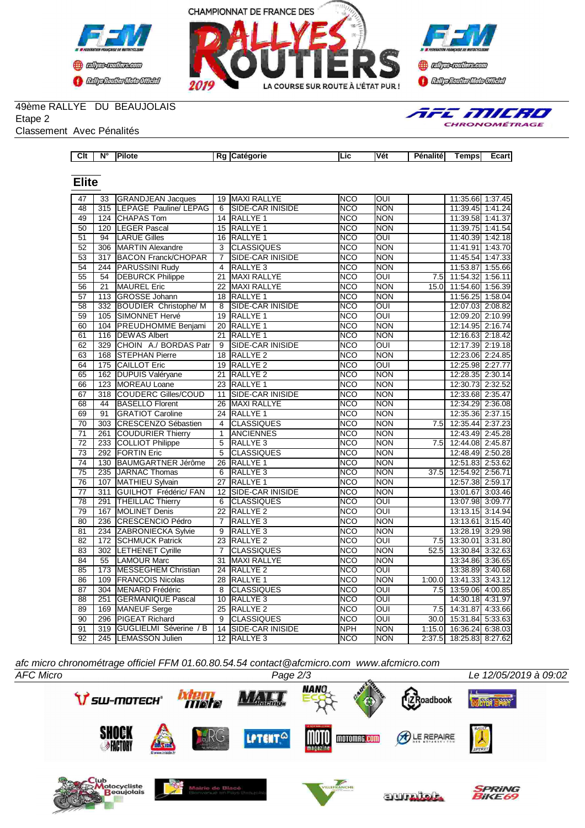





## 49ème RALLYE DU BEAUJOLAIS

Etape 2

Classement Avec Pénalités

| AFE MILRO<br><b>CHRONOMÉTRAGE</b> |
|-----------------------------------|
|                                   |

| Clt<br>N°.<br>.<br><b>Vét</b><br>aorie<br>ILIC<br>пот<br>. эт | _cart'<br>emps<br>enalite |
|---------------------------------------------------------------|---------------------------|
|---------------------------------------------------------------|---------------------------|

## **Elite**

| 47              | 33               | <b>GRANDJEAN Jacques</b>     | 19              | <b>MAXI RALLYE</b>      | <b>NCO</b>       | OUI                     |                  | 11:35.66 1:37.45        |         |
|-----------------|------------------|------------------------------|-----------------|-------------------------|------------------|-------------------------|------------------|-------------------------|---------|
| 48              | 315              | <b>LEPAGE Pauline/ LEPAG</b> | 6               | SIDE-CAR INISIDE        | <b>NCO</b>       | <b>NON</b>              |                  | 11:39.45 1:41.24        |         |
| 49              | 124              | <b>CHAPAS Tom</b>            | 14              | RALLYE <sub>1</sub>     | <b>NCO</b>       | <b>NON</b>              |                  | 11:39.58 1:41.37        |         |
| $\overline{50}$ | 120              | <b>LEGER Pascal</b>          | $\overline{15}$ | <b>RALLYE 1</b>         | <b>NCO</b>       | <b>NON</b>              |                  | 11:39.75 1:41.54        |         |
| 51              | 94               | <b>LARUE Gilles</b>          |                 | 16 RALLYE 1             | <b>NCO</b>       | OUI                     |                  | 11:40.39 1:42.18        |         |
| 52              | $\overline{306}$ | <b>MARTIN Alexandre</b>      | $\overline{3}$  | <b>CLASSIQUES</b>       | $\overline{NCO}$ | <b>NON</b>              |                  | 11:41.91 1:43.70        |         |
| 53              | 317              | <b>BACON Franck/CHOPAR</b>   | $\overline{7}$  | SIDE-CAR INISIDE        | <b>NCO</b>       | <b>NON</b>              |                  | 11:45.54 1:47.33        |         |
| $\overline{54}$ | 244              | PARUSSINI Rudy               | 4               | RALLYE <sub>3</sub>     | <b>NCO</b>       | <b>NON</b>              |                  | 11:53.87 1:55.66        |         |
| 55              | 54               | <b>DEBURCK Philippe</b>      | 21              | MAXI RALLYE             | <b>NCO</b>       | <b>OUI</b>              | 7.5              | 11:54.32                | 1:56.11 |
| 56              | $\overline{21}$  | <b>MAUREL Eric</b>           | 22              | <b>MAXI RALLYE</b>      | $\overline{NCO}$ | <b>NON</b>              | 15.0             | 11:54.60 1:56.39        |         |
| $\overline{57}$ | 113              | <b>GROSSE Johann</b>         | 18              | <b>RALLYE 1</b>         | <b>NCO</b>       | <b>NON</b>              |                  | 11:56.25 1:58.04        |         |
| 58              | 332              | <b>BOUDIER Christophe/ M</b> | 8               | SIDE-CAR INISIDE        | <b>NCO</b>       | $\overline{\text{C}}$   |                  | 12:07.03 2:08.82        |         |
| $\overline{59}$ | 105              | SIMONNET Hervé               | $\overline{19}$ | RALLYE <sub>1</sub>     | <b>NCO</b>       | $\overline{OUI}$        |                  | 12:09.20 2:10.99        |         |
| 60              | 104              | <b>PREUDHOMME Benjami</b>    | 20              | <b>RALLYE 1</b>         | <b>NCO</b>       | <b>NON</b>              |                  | 12:14.95 2:16.74        |         |
| 61              | 116              | <b>DEWAS Albert</b>          | 21              | <b>RALLYE 1</b>         | $\overline{NCO}$ | <b>NON</b>              |                  | 12:16.63 2:18.42        |         |
| 62              | 329              | CHOIN A./ BORDAS Patr        | 9               | <b>SIDE-CAR INISIDE</b> | $\overline{NCO}$ | $\overline{\text{out}}$ |                  | 12:17.39 2:19.18        |         |
| 63              | 168              | <b>STEPHAN Pierre</b>        | 18              | <b>RALLYE 2</b>         | <b>NCO</b>       | <b>NON</b>              |                  | 12:23.06 2:24.85        |         |
| 64              | 175              | <b>CAILLOT Eric</b>          |                 | 19 RALLYE 2             | <b>NCO</b>       | OUI                     |                  | 12:25.98 2:27.77        |         |
| 65              | 162              | <b>DUPUIS Valéryane</b>      | $\overline{21}$ | <b>RALLYE 2</b>         | $\overline{NCO}$ | <b>NON</b>              |                  | 12:28.35 2:30.14        |         |
| 66              | $\overline{123}$ | MOREAU Loane                 | 23              | <b>RALLYE 1</b>         | $\overline{NCO}$ | <b>NON</b>              |                  | 12:30.73 2:32.52        |         |
| 67              | 318              | <b>COUDERC Gilles/COUD</b>   | 11              | SIDE-CAR INISIDE        | <b>NCO</b>       | <b>NON</b>              |                  | 12:33.68 2:35.47        |         |
| 68              | 44               | <b>BASELLO Florent</b>       | 26              | <b>MAXI RALLYE</b>      | <b>NCO</b>       | <b>NON</b>              |                  | 12:34.29 2:36.08        |         |
| 69              | 91               | <b>IGRATIOT Caroline</b>     | 24              | <b>RALLYE 1</b>         | <b>NCO</b>       | <b>NON</b>              |                  | 12:35.36 2:37.15        |         |
| $\overline{70}$ | 303              | <b>CRESCENZO Sébastien</b>   | $\overline{4}$  | <b>CLASSIQUES</b>       | <b>NCO</b>       | <b>NON</b>              | 7.5              | 12:35.44 2:37.23        |         |
| $\overline{71}$ | 261              | <b>COUDURIER Thierry</b>     | $\mathbf{1}$    | <b>ANCIENNES</b>        | <b>NCO</b>       | <b>NON</b>              |                  | 12:43.49 2:45.28        |         |
| $\overline{72}$ | 233              | <b>COLLIOT Philippe</b>      | 5               | <b>RALLYE 3</b>         | <b>NCO</b>       | <b>NON</b>              | 7.5              | 12:44.08 2:45.87        |         |
| $\overline{73}$ | 292              | <b>FORTIN Eric</b>           | $\overline{5}$  | <b>CLASSIQUES</b>       | NCO              | <b>NON</b>              |                  | 12:48.49 2:50.28        |         |
| $\overline{74}$ | 130              | <b>BAUMGARTNER Jérôme</b>    | 26              | RALLYE <sub>1</sub>     | <b>NCO</b>       | <b>NON</b>              |                  | 12:51.83 2:53.62        |         |
| $\overline{75}$ | 235              | JARNAC Thomas                | 6               | <b>RALLYE 3</b>         | <b>NCO</b>       | <b>NON</b>              | 37.5             | 12:54.92 2:56.71        |         |
| $\overline{76}$ | 107              | MATHIEU Sylvain              | 27              | RALLYE <sub>1</sub>     | <b>NCO</b>       | <b>NON</b>              |                  | 12:57.38 2:59.17        |         |
| $\overline{77}$ | 311              | GUILHOT Frédéric/ FAN        | 12              | SIDE-CAR INISIDE        | <b>NCO</b>       | <b>NON</b>              |                  | 13:01.67 3:03.46        |         |
| $\overline{78}$ | 291              | <b>THEILLAC Thierry</b>      | 6               | <b>CLASSIQUES</b>       | $\overline{NCO}$ | OUI                     |                  | 13:07.98 3:09.77        |         |
| $\overline{79}$ | 167              | <b>MOLINET Denis</b>         | 22              | RALLYE <sub>2</sub>     | <b>NCO</b>       | OUI                     |                  | 13:13.15 3:14.94        |         |
| 80              | 236              | <b>CRESCENCIO Pédro</b>      | $\overline{7}$  | RALLYE <sub>3</sub>     | <b>NCO</b>       | <b>NON</b>              |                  | 13:13.61 3:15.40        |         |
| $\overline{81}$ | 234              | ZABRONIECKA Sylvie           | 9               | <b>RALLYE 3</b>         | <b>NCO</b>       | <b>NON</b>              |                  | 13:28.19 3:29.98        |         |
| 82              | 172              | <b>ISCHMUCK Patrick</b>      | 23              | <b>RALLYE 2</b>         | <b>NCO</b>       | <b>OUI</b>              | 7.5              | 13:30.01 3:31.80        |         |
| 83              | 302              | <b>LETHENET Cyrille</b>      | $\overline{7}$  | <b>CLASSIQUES</b>       | $\overline{NCO}$ | <b>NON</b>              | 52.5             | 13:30.84 3:32.63        |         |
| 84              | 55               | <b>LAMOUR Marc</b>           | 31              | <b>MAXI RALLYE</b>      | <b>NCO</b>       | <b>NON</b>              |                  | 13:34.86 3:36.65        |         |
| 85              | 173              | <b>MESSEGHEM Christian</b>   | 24              | <b>RALLYE 2</b>         | <b>NCO</b>       | OUI                     |                  | 13:38.89 3:40.68        |         |
| 86              | 109              | <b>FRANCOIS Nicolas</b>      | 28              | <b>RALLYE 1</b>         | <b>NCO</b>       | <b>NON</b>              | 1:00.0           | 13:41.33 3:43.12        |         |
| 87              | 304              | MENARD Frédéric              | 8               | <b>CLASSIQUES</b>       | <b>NCO</b>       | OUI                     |                  | 7.5 13:59.06 4:00.85    |         |
| $\overline{88}$ | 251              | <b>GERMANIQUE Pascal</b>     | 10              | <b>RALLYE 3</b>         | <b>NCO</b>       | $\overline{O}$ UI       |                  | 14:30.18 4:31.97        |         |
| 89              | 169              | <b>MANEUF Serge</b>          | 25              | <b>RALLYE 2</b>         | <b>NCO</b>       | OUI                     | 7.5 <sub>1</sub> | 14:31.87 4:33.66        |         |
| $\overline{90}$ | 296              | <b>PIGEAT Richard</b>        | $\overline{9}$  | <b>CLASSIQUES</b>       | <b>NCO</b>       | $\overline{OUI}$        | 30.0             | 15:31.84 5:33.63        |         |
| 91              | 319              | GUGLIELMI Séverine / B       | 14              | <b>SIDE-CAR INISIDE</b> | <b>NPH</b>       | <b>NON</b>              | 1:15.0           | 16:36.24 6:38.03        |         |
| $\overline{92}$ |                  | 245 LEMASSON Julien          |                 | 12 RALLYE 3             | <b>NCO</b>       | <b>NON</b>              |                  | 2:37.5 18:25.83 8:27.62 |         |
|                 |                  |                              |                 |                         |                  |                         |                  |                         |         |

*afc micro chronométrage officiel FFM 01.60.80.54.54 contact@afcmicro.com www.afcmicro.com*